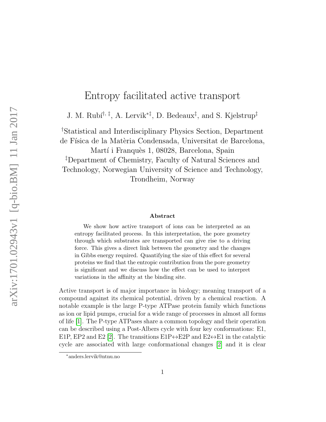# Entropy facilitated active transport

J. M. Rubí<sup>†, ‡</sup>, A. Lervik<sup>\*‡</sup>, D. Bedeaux<sup>‡</sup>, and S. Kjelstrup<sup>‡</sup>

†Statistical and Interdisciplinary Physics Section, Department de Física de la Matèria Condensada, Universitat de Barcelona, Martí i Franquès 1, 08028, Barcelona, Spain ‡Department of Chemistry, Faculty of Natural Sciences and Technology, Norwegian University of Science and Technology, Trondheim, Norway

#### Abstract

We show how active transport of ions can be interpreted as an entropy facilitated process. In this interpretation, the pore geometry through which substrates are transported can give rise to a driving force. This gives a direct link between the geometry and the changes in Gibbs energy required. Quantifying the size of this effect for several proteins we find that the entropic contribution from the pore geometry is significant and we discuss how the effect can be used to interpret variations in the affinity at the binding site.

Active transport is of major importance in biology; meaning transport of a compound against its chemical potential, driven by a chemical reaction. A notable example is the large P-type ATPase protein family which functions as ion or lipid pumps, crucial for a wide range of processes in almost all forms of life [\[1\]](#page-7-0). The P-type ATPases share a common topology and their operation can be described using a Post-Albers cycle with four key conformations: E1, E1P, EP2 and E2 [\[2\]](#page-7-1). The transitions E1P $\leftrightarrow$ E2P and E2 $\leftrightarrow$ E1 in the catalytic cycle are associated with large conformational changes [\[2\]](#page-7-1) and it is clear

<sup>∗</sup>anders.lervik@ntnu.no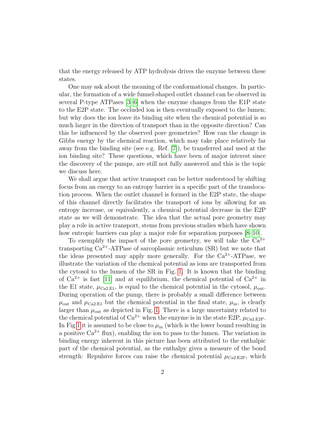that the energy released by ATP hydrolysis drives the enzyme between these states.

One may ask about the meaning of the conformational changes. In particular, the formation of a wide funnel-shaped outlet channel can be observed in several P-type ATPases [\[3–](#page-7-2)[6\]](#page-7-3) when the enzyme changes from the E1P state to the E2P state. The occluded ion is then eventually exposed to the lumen; but why does the ion leave its binding site when the chemical potential is so much larger in the direction of transport than in the opposite direction? Can this be influenced by the observed pore geometries? How can the change in Gibbs energy by the chemical reaction, which may take place relatively far away from the binding site (see e.g. Ref. [\[7\]](#page-7-4)), be transferred and used at the ion binding site? These questions, which have been of major interest since the discovery of the pumps, are still not fully answered and this is the topic we discuss here.

We shall argue that active transport can be better understood by shifting focus from an energy to an entropy barrier in a specific part of the translocation process. When the outlet channel is formed in the E2P state, the shape of this channel directly facilitates the transport of ions by allowing for an entropy increase, or equivalently, a chemical potential decrease in the E2P state as we will demonstrate. The idea that the actual pore geometry may play a role in active transport, stems from previous studies which have shown how entropic barriers can play a major role for separation purposes  $[8-10]$  $[8-10]$ .

To exemplify the impact of the pore geometry, we will take the  $Ca^{2+}$ transporting  $Ca^{2+}-ATP$ ase of sarcoplasmic reticulum  $(SR)$  but we note that the ideas presented may apply more generally. For the  $Ca^{2+}-ATP$ ase, we illustrate the variation of the chemical potential as ions are transported from the cytosol to the lumen of the SR in Fig. [1.](#page-2-0) It is known that the binding of  $Ca^{2+}$  is fast [\[11\]](#page-8-2) and at equilibrium, the chemical potential of  $Ca^{2+}$  in the E1 state,  $\mu_{Ca2,E1}$ , is equal to the chemical potential in the cytosol,  $\mu_{out}$ . During operation of the pump, there is probably a small difference between  $\mu_{\text{out}}$  and  $\mu_{\text{Ca2-E1}}$  but the chemical potential in the final state,  $\mu_{\text{in}}$ , is clearly larger than  $\mu_{\text{out}}$  as depicted in Fig. [1.](#page-2-0) There is a large uncertainty related to the chemical potential of  $Ca^{2+}$  when the enzyme is in the state E2P,  $\mu_{Ca2,E2P}$ . In Fig [1](#page-2-0) it is assumed to be close to  $\mu_{\text{in}}$  (which is the lower bound resulting in a positive  $Ca^{2+}$  flux), enabling the ion to pass to the lumen. The variation in binding energy inherent in this picture has been attributed to the enthalpic part of the chemical potential, as the enthalpy gives a measure of the bond strength: Repulsive forces can raise the chemical potential  $\mu_{\text{Ca2,E2P}}$ , which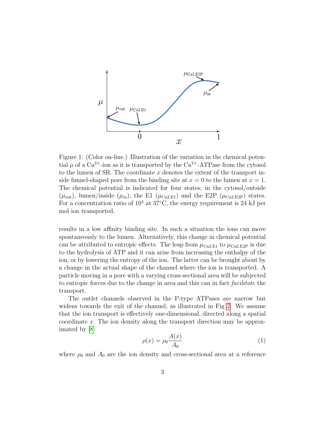

<span id="page-2-0"></span>Figure 1: (Color on-line.) Illustration of the variation in the chemical potential  $\mu$  of a Ca<sup>2+</sup>-ion as it is transported by the Ca<sup>2+</sup>-ATPase from the cytosol to the lumen of SR. The coordinate  $x$  denotes the extent of the transport inside funnel-shaped pore from the binding site at  $x = 0$  to the lumen at  $x = 1$ . The chemical potential is indicated for four states; in the cytosol/outside  $(\mu_{\text{out}})$ , lumen/inside  $(\mu_{\text{in}})$ , the E1  $(\mu_{\text{Ca2,E1}})$  and the E2P  $(\mu_{\text{Ca2,E2P}})$  states. For a concentration ratio of  $10^4$  at  $37^{\circ}$ C, the energy requirement is 24 kJ per mol ion transported.

results in a low affinity binding site. In such a situation the ions can move spontaneously to the lumen. Alternatively, this change in chemical potential can be attributed to entropic effects. The leap from  $\mu_{\text{Ca2-E1}}$  to  $\mu_{\text{Ca2-E2P}}$  is due to the hydrolysis of ATP and it can arise from increasing the enthalpy of the ion, or by lowering the entropy of the ion. The latter can be brought about by a change in the actual shape of the channel where the ion is transported. A particle moving in a pore with a varying cross-sectional area will be subjected to entropic forces due to the change in area and this can in fact facilitate the transport.

The outlet channels observed in the P-type ATPases are narrow but widens towards the exit of the channel, as illustrated in Fig [2.](#page-4-0) We assume that the ion transport is effectively one-dimensional, directed along a spatial coordinate x. The ion density along the transport direction may be approximated by [\[8\]](#page-8-0)

<span id="page-2-1"></span>
$$
\rho(x) = \rho_0 \frac{A(x)}{A_0} \tag{1}
$$

where  $\rho_0$  and  $A_0$  are the ion density and cross-sectional area at a reference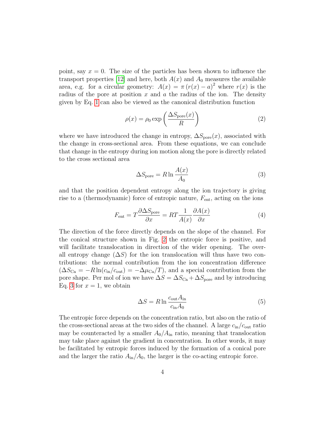point, say  $x = 0$ . The size of the particles has been shown to influence the transport properties [\[12\]](#page-8-3) and here, both  $A(x)$  and  $A_0$  measures the available area, e.g. for a circular geometry:  $A(x) = \pi (r(x) - a)^2$  where  $r(x)$  is the radius of the pore at position  $x$  and  $a$  the radius of the ion. The density given by Eq. [1](#page-2-1) can also be viewed as the canonical distribution function

$$
\rho(x) = \rho_0 \exp\left(\frac{\Delta S_{\text{pore}}(x)}{R}\right) \tag{2}
$$

where we have introduced the change in entropy,  $\Delta S_{\text{pore}}(x)$ , associated with the change in cross-sectional area. From these equations, we can conclude that change in the entropy during ion motion along the pore is directly related to the cross sectional area

<span id="page-3-0"></span>
$$
\Delta S_{\text{pore}} = R \ln \frac{A(x)}{A_0} \tag{3}
$$

and that the position dependent entropy along the ion trajectory is giving rise to a (thermodynamic) force of entropic nature,  $F_{\text{ent}}$ , acting on the ions

$$
F_{\text{ent}} = T \frac{\partial \Delta S_{\text{pore}}}{\partial x} = RT \frac{1}{A(x)} \frac{\partial A(x)}{\partial x} \tag{4}
$$

The direction of the force directly depends on the slope of the channel. For the conical structure shown in Fig. [2](#page-4-0) the entropic force is positive, and will facilitate translocation in direction of the wider opening. The overall entropy change  $(\Delta S)$  for the ion translocation will thus have two contributions: the normal contribution from the ion concentration difference  $(\Delta S_{\text{Ca}} = -R \ln(c_{\text{in}}/c_{\text{out}}) = -\Delta \mu_{\text{Ca}}/T)$ , and a special contribution from the pore shape. Per mol of ion we have  $\Delta S = \Delta S_{\text{Ca}} + \Delta S_{\text{pore}}$  and by introducing Eq. [3](#page-3-0) for  $x = 1$ , we obtain

$$
\Delta S = R \ln \frac{c_{\text{out}} A_{\text{in}}}{c_{\text{in}} A_0} \tag{5}
$$

The entropic force depends on the concentration ratio, but also on the ratio of the cross-sectional areas at the two sides of the channel. A large  $c_{\rm in}/c_{\rm out}$  ratio may be counteracted by a smaller  $A_0/A_{\text{in}}$  ratio, meaning that translocation may take place against the gradient in concentration. In other words, it may be facilitated by entropic forces induced by the formation of a conical pore and the larger the ratio  $A_{\rm in}/A_0$ , the larger is the co-acting entropic force.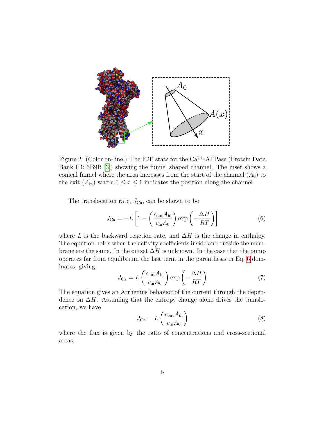

<span id="page-4-0"></span>Figure 2: (Color on-line.) The E2P state for the  $Ca^{2+}-ATP$ ase (Protein Data Bank ID: 3B9B [\[3\]](#page-7-2)) showing the funnel shaped channel. The inset shows a conical funnel where the area increases from the start of the channel  $(A_0)$  to the exit  $(A_{\text{in}})$  where  $0 \le x \le 1$  indicates the position along the channel.

The translocation rate,  $J_{\text{Ca}}$ , can be shown to be

<span id="page-4-1"></span>
$$
J_{\text{Ca}} = -L \left[ 1 - \left( \frac{c_{\text{out}} A_{\text{in}}}{c_{\text{in}} A_0} \right) \exp \left( -\frac{\Delta H}{RT} \right) \right]
$$
(6)

where L is the backward reaction rate, and  $\Delta H$  is the change in enthalpy. The equation holds when the activity coefficients inside and outside the membrane are the same. In the outset  $\Delta H$  is unknown. In the case that the pump operates far from equilibrium the last term in the parenthesis in Eq. [6](#page-4-1) dominates, giving

$$
J_{\text{Ca}} = L \left( \frac{c_{\text{out}} A_{\text{in}}}{c_{\text{in}} A_0} \right) \exp \left( -\frac{\Delta H}{RT} \right) \tag{7}
$$

The equation gives an Arrhenius behavior of the current through the dependence on  $\Delta H$ . Assuming that the entropy change alone drives the translocation, we have

$$
J_{\text{Ca}} = L \left( \frac{c_{\text{out}} A_{\text{in}}}{c_{\text{in}} A_0} \right) \tag{8}
$$

where the flux is given by the ratio of concentrations and cross-sectional areas.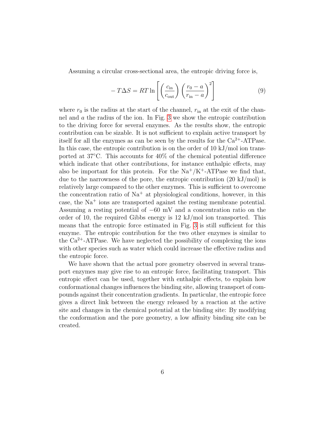Assuming a circular cross-sectional area, the entropic driving force is,

$$
-T\Delta S = RT \ln \left[ \left( \frac{c_{\rm in}}{c_{\rm out}} \right) \left( \frac{r_0 - a}{r_{\rm in} - a} \right)^2 \right]
$$
 (9)

where  $r_0$  is the radius at the start of the channel,  $r_{\rm in}$  at the exit of the channel and a the radius of the ion. In Fig. [3](#page-6-0) we show the entropic contribution to the driving force for several enzymes. As the results show, the entropic contribution can be sizable. It is not sufficient to explain active transport by itself for all the enzymes as can be seen by the results for the  $Ca^{2+}-ATP$ ase. In this case, the entropic contribution is on the order of 10 kJ/mol ion transported at 37◦C. This accounts for 40% of the chemical potential difference which indicate that other contributions, for instance enthalpic effects, may also be important for this protein. For the  $\text{Na}^+/K^+$ -ATPase we find that, due to the narrowness of the pore, the entropic contribution  $(20 \text{ kJ/mol})$  is relatively large compared to the other enzymes. This is sufficient to overcome the concentration ratio of  $Na<sup>+</sup>$  at physiological conditions, however, in this case, the  $Na<sup>+</sup>$  ions are transported against the resting membrane potential. Assuming a resting potential of −60 mV and a concentration ratio on the order of 10, the required Gibbs energy is 12 kJ/mol ion transported. This means that the entropic force estimated in Fig. [3](#page-6-0) is still sufficient for this enzyme. The entropic contribution for the two other enzymes is similar to the  $Ca^{2+}-ATP$ ase. We have neglected the possibility of complexing the ions with other species such as water which could increase the effective radius and the entropic force.

We have shown that the actual pore geometry observed in several transport enzymes may give rise to an entropic force, facilitating transport. This entropic effect can be used, together with enthalpic effects, to explain how conformational changes influences the binding site, allowing transport of compounds against their concentration gradients. In particular, the entropic force gives a direct link between the energy released by a reaction at the active site and changes in the chemical potential at the binding site: By modifying the conformation and the pore geometry, a low affinity binding site can be created.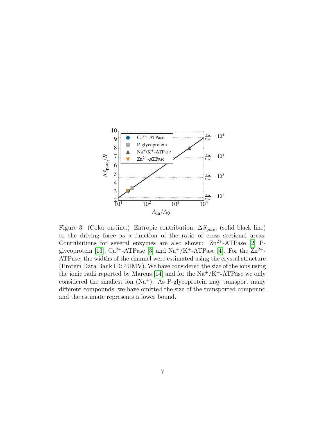

<span id="page-6-0"></span>Figure 3: (Color on-line.) Entropic contribution,  $\Delta S_{\text{pore}}$ , (solid black line) to the driving force as a function of the ratio of cross sectional areas. Contributions for several enzymes are also shown:  $\text{Zn}^{2+}-\text{ATPase}$  [\[2\]](#page-7-1) P-glycoprotein [\[13\]](#page-8-4),  $Ca^{2+}-ATPase$  [\[3\]](#page-7-2) and  $Na^+/K^+$ -ATPase [\[4\]](#page-7-5). For the  $Zn^{2+}$ -ATPase, the widths of the channel were estimated using the crystal structure (Protein Data Bank ID: 4UMV). We have considered the size of the ions using the ionic radii reported by Marcus [\[14\]](#page-8-5) and for the  $\text{Na}^+/ \text{K}^+$ -ATPase we only considered the smallest ion  $(Na^+)$ . As P-glycoprotein may transport many different compounds, we have omitted the size of the transported compound and the estimate represents a lower bound.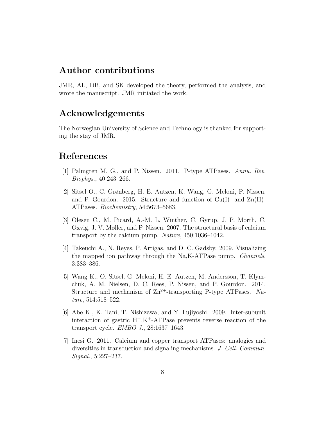### Author contributions

JMR, AL, DB, and SK developed the theory, performed the analysis, and wrote the manuscript. JMR initiated the work.

## Acknowledgements

The Norwegian University of Science and Technology is thanked for supporting the stay of JMR.

# References

- <span id="page-7-0"></span>[1] Palmgren M. G., and P. Nissen. 2011. P-type ATPases. Annu. Rev. Biophys., 40:243–266.
- <span id="page-7-1"></span>[2] Sitsel O., C. Grønberg, H. E. Autzen, K. Wang, G. Meloni, P. Nissen, and P. Gourdon. 2015. Structure and function of  $Cu(I)$ - and  $Zn(II)$ -ATPases. Biochemistry, 54:5673–5683.
- <span id="page-7-2"></span>[3] Olesen C., M. Picard, A.-M. L. Winther, C. Gyrup, J. P. Morth, C. Oxvig, J. V. Møller, and P. Nissen. 2007. The structural basis of calcium transport by the calcium pump. Nature, 450:1036–1042.
- <span id="page-7-5"></span>[4] Takeuchi A., N. Reyes, P. Artigas, and D. C. Gadsby. 2009. Visualizing the mapped ion pathway through the Na,K-ATPase pump. Channels, 3:383–386.
- [5] Wang K., O. Sitsel, G. Meloni, H. E. Autzen, M. Andersson, T. Klymchuk, A. M. Nielsen, D. C. Rees, P. Nissen, and P. Gourdon. 2014. Structure and mechanism of  $\rm Zn^{2+}$ -transporting P-type ATPases. Nature, 514:518–522.
- <span id="page-7-3"></span>[6] Abe K., K. Tani, T. Nishizawa, and Y. Fujiyoshi. 2009. Inter-subunit interaction of gastric  $H^+, K^+$ -ATPase prevents reverse reaction of the transport cycle. EMBO J., 28:1637–1643.
- <span id="page-7-4"></span>[7] Inesi G. 2011. Calcium and copper transport ATPases: analogies and diversities in transduction and signaling mechanisms. J. Cell. Commun. Signal., 5:227–237.